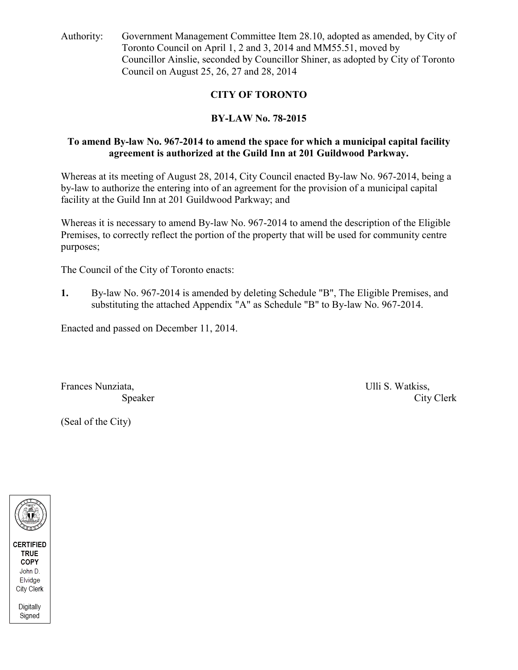Authority: Government Management Committee Item 28.10, adopted as amended, by City of Toronto Council on April 1, 2 and 3, 2014 and MM55.51, moved by Councillor Ainslie, seconded by Councillor Shiner, as adopted by City of Toronto Council on August 25, 26, 27 and 28, 2014

## **CITY OF TORONTO**

## **BY-LAW No. 78-2015**

#### **To amend By-law No. 967-2014 to amend the space for which a municipal capital facility agreement is authorized at the Guild Inn at 201 Guildwood Parkway.**

Whereas at its meeting of August 28, 2014, City Council enacted By-law No. 967-2014, being a by-law to authorize the entering into of an agreement for the provision of a municipal capital facility at the Guild Inn at 201 Guildwood Parkway; and

Whereas it is necessary to amend By-law No. 967-2014 to amend the description of the Eligible Premises, to correctly reflect the portion of the property that will be used for community centre purposes;

The Council of the City of Toronto enacts:

**1.** By-law No. 967-2014 is amended by deleting Schedule "B", The Eligible Premises, and substituting the attached Appendix "A" as Schedule "B" to By-law No. 967-2014.

Enacted and passed on December 11, 2014.

Frances Nunziata, Ulli S. Watkiss,

Speaker City Clerk

(Seal of the City)

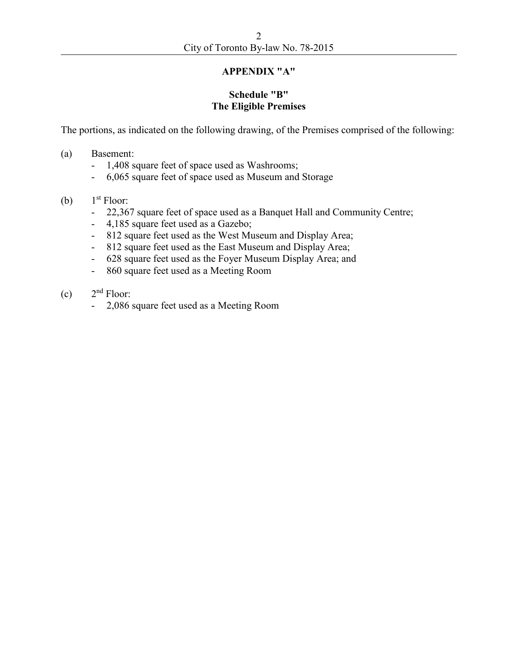## **APPENDIX "A"**

#### **Schedule "B" The Eligible Premises**

The portions, as indicated on the following drawing, of the Premises comprised of the following:

- (a) Basement:
	- 1,408 square feet of space used as Washrooms;
	- 6,065 square feet of space used as Museum and Storage
- (b) 1 1<sup>st</sup> Floor:
	- 22,367 square feet of space used as a Banquet Hall and Community Centre;
	- 4,185 square feet used as a Gazebo;
	- 812 square feet used as the West Museum and Display Area;
	- 812 square feet used as the East Museum and Display Area;
	- 628 square feet used as the Foyer Museum Display Area; and
	- 860 square feet used as a Meeting Room
- $(c)$  $2<sup>nd</sup>$  Floor:
	- 2,086 square feet used as a Meeting Room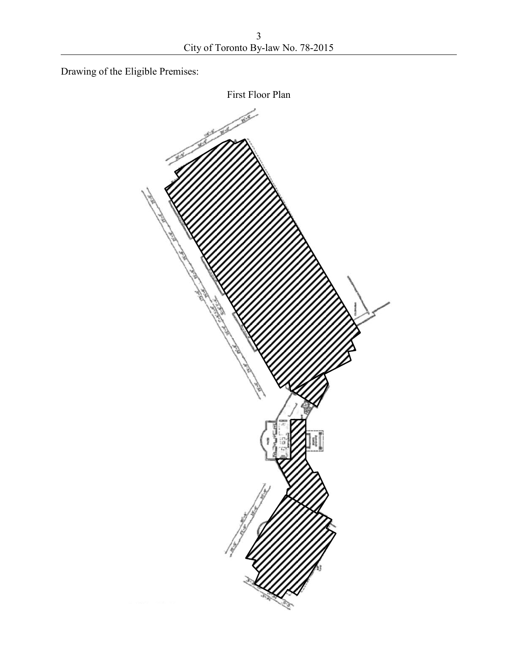Drawing of the Eligible Premises:

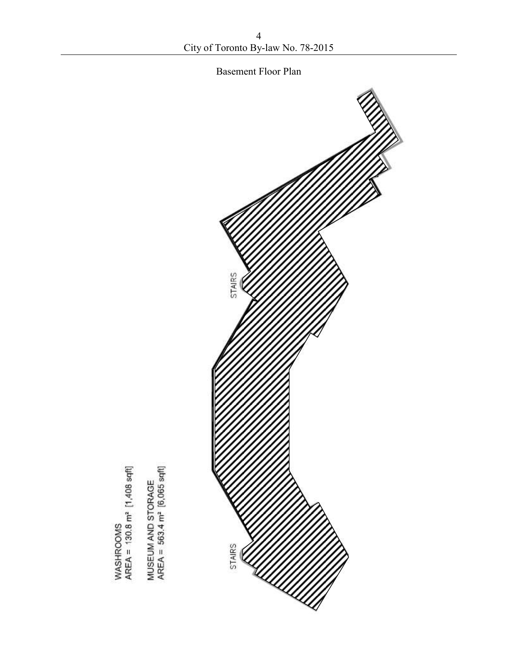



WASHROOMS<br>AREA = 130.8 m<sup>2</sup> [1,408 sqft]

MUSEUM AND STORAGE<br>AREA = 563.4 m<sup>2</sup> [6,065 sqft]